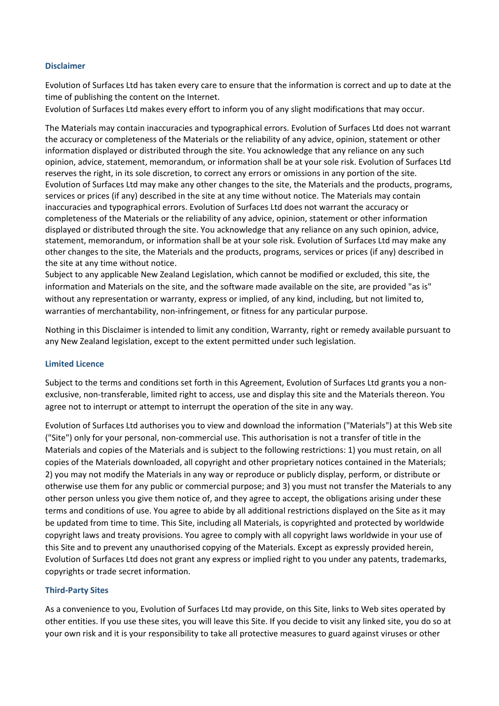### **Disclaimer**

Evolution of Surfaces Ltd has taken every care to ensure that the information is correct and up to date at the time of publishing the content on the Internet.

Evolution of Surfaces Ltd makes every effort to inform you of any slight modifications that may occur.

The Materials may contain inaccuracies and typographical errors. Evolution of Surfaces Ltd does not warrant the accuracy or completeness of the Materials or the reliability of any advice, opinion, statement or other information displayed or distributed through the site. You acknowledge that any reliance on any such opinion, advice, statement, memorandum, or information shall be at your sole risk. Evolution of Surfaces Ltd reserves the right, in its sole discretion, to correct any errors or omissions in any portion of the site. Evolution of Surfaces Ltd may make any other changes to the site, the Materials and the products, programs, services or prices (if any) described in the site at any time without notice. The Materials may contain inaccuracies and typographical errors. Evolution of Surfaces Ltd does not warrant the accuracy or completeness of the Materials or the reliability of any advice, opinion, statement or other information displayed or distributed through the site. You acknowledge that any reliance on any such opinion, advice, statement, memorandum, or information shall be at your sole risk. Evolution of Surfaces Ltd may make any other changes to the site, the Materials and the products, programs, services or prices (if any) described in the site at any time without notice.

Subject to any applicable New Zealand Legislation, which cannot be modified or excluded, this site, the information and Materials on the site, and the software made available on the site, are provided "as is" without any representation or warranty, express or implied, of any kind, including, but not limited to, warranties of merchantability, non-infringement, or fitness for any particular purpose.

Nothing in this Disclaimer is intended to limit any condition, Warranty, right or remedy available pursuant to any New Zealand legislation, except to the extent permitted under such legislation.

### **Limited Licence**

Subject to the terms and conditions set forth in this Agreement, Evolution of Surfaces Ltd grants you a nonexclusive, non-transferable, limited right to access, use and display this site and the Materials thereon. You agree not to interrupt or attempt to interrupt the operation of the site in any way.

Evolution of Surfaces Ltd authorises you to view and download the information ("Materials") at this Web site ("Site") only for your personal, non-commercial use. This authorisation is not a transfer of title in the Materials and copies of the Materials and is subject to the following restrictions: 1) you must retain, on all copies of the Materials downloaded, all copyright and other proprietary notices contained in the Materials; 2) you may not modify the Materials in any way or reproduce or publicly display, perform, or distribute or otherwise use them for any public or commercial purpose; and 3) you must not transfer the Materials to any other person unless you give them notice of, and they agree to accept, the obligations arising under these terms and conditions of use. You agree to abide by all additional restrictions displayed on the Site as it may be updated from time to time. This Site, including all Materials, is copyrighted and protected by worldwide copyright laws and treaty provisions. You agree to comply with all copyright laws worldwide in your use of this Site and to prevent any unauthorised copying of the Materials. Except as expressly provided herein, Evolution of Surfaces Ltd does not grant any express or implied right to you under any patents, trademarks, copyrights or trade secret information.

## **Third-Party Sites**

As a convenience to you, Evolution of Surfaces Ltd may provide, on this Site, links to Web sites operated by other entities. If you use these sites, you will leave this Site. If you decide to visit any linked site, you do so at your own risk and it is your responsibility to take all protective measures to guard against viruses or other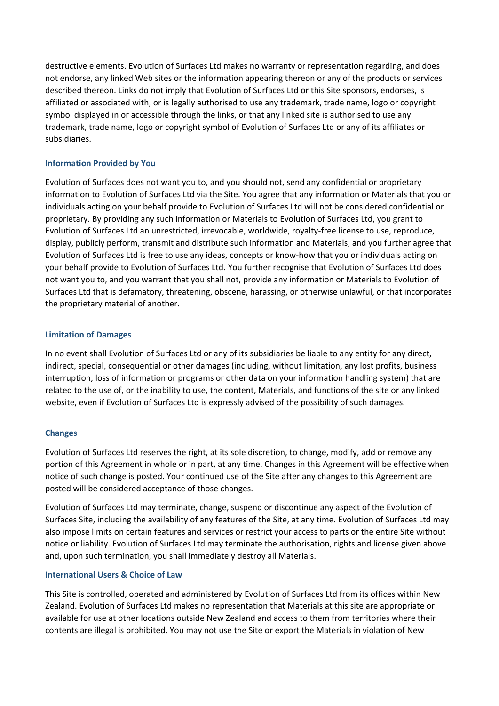destructive elements. Evolution of Surfaces Ltd makes no warranty or representation regarding, and does not endorse, any linked Web sites or the information appearing thereon or any of the products or services described thereon. Links do not imply that Evolution of Surfaces Ltd or this Site sponsors, endorses, is affiliated or associated with, or is legally authorised to use any trademark, trade name, logo or copyright symbol displayed in or accessible through the links, or that any linked site is authorised to use any trademark, trade name, logo or copyright symbol of Evolution of Surfaces Ltd or any of its affiliates or subsidiaries.

# **Information Provided by You**

Evolution of Surfaces does not want you to, and you should not, send any confidential or proprietary information to Evolution of Surfaces Ltd via the Site. You agree that any information or Materials that you or individuals acting on your behalf provide to Evolution of Surfaces Ltd will not be considered confidential or proprietary. By providing any such information or Materials to Evolution of Surfaces Ltd, you grant to Evolution of Surfaces Ltd an unrestricted, irrevocable, worldwide, royalty-free license to use, reproduce, display, publicly perform, transmit and distribute such information and Materials, and you further agree that Evolution of Surfaces Ltd is free to use any ideas, concepts or know-how that you or individuals acting on your behalf provide to Evolution of Surfaces Ltd. You further recognise that Evolution of Surfaces Ltd does not want you to, and you warrant that you shall not, provide any information or Materials to Evolution of Surfaces Ltd that is defamatory, threatening, obscene, harassing, or otherwise unlawful, or that incorporates the proprietary material of another.

## **Limitation of Damages**

In no event shall Evolution of Surfaces Ltd or any of its subsidiaries be liable to any entity for any direct, indirect, special, consequential or other damages (including, without limitation, any lost profits, business interruption, loss of information or programs or other data on your information handling system) that are related to the use of, or the inability to use, the content, Materials, and functions of the site or any linked website, even if Evolution of Surfaces Ltd is expressly advised of the possibility of such damages.

# **Changes**

Evolution of Surfaces Ltd reserves the right, at its sole discretion, to change, modify, add or remove any portion of this Agreement in whole or in part, at any time. Changes in this Agreement will be effective when notice of such change is posted. Your continued use of the Site after any changes to this Agreement are posted will be considered acceptance of those changes.

Evolution of Surfaces Ltd may terminate, change, suspend or discontinue any aspect of the Evolution of Surfaces Site, including the availability of any features of the Site, at any time. Evolution of Surfaces Ltd may also impose limits on certain features and services or restrict your access to parts or the entire Site without notice or liability. Evolution of Surfaces Ltd may terminate the authorisation, rights and license given above and, upon such termination, you shall immediately destroy all Materials.

## **International Users & Choice of Law**

This Site is controlled, operated and administered by Evolution of Surfaces Ltd from its offices within New Zealand. Evolution of Surfaces Ltd makes no representation that Materials at this site are appropriate or available for use at other locations outside New Zealand and access to them from territories where their contents are illegal is prohibited. You may not use the Site or export the Materials in violation of New